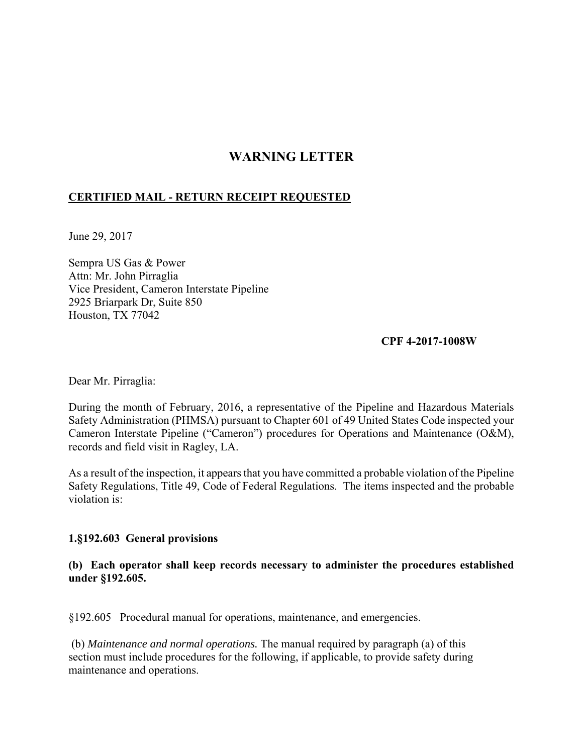## **WARNING LETTER**

## **CERTIFIED MAIL - RETURN RECEIPT REQUESTED**

June 29, 2017

Sempra US Gas & Power Attn: Mr. John Pirraglia Vice President, Cameron Interstate Pipeline 2925 Briarpark Dr, Suite 850 Houston, TX 77042

## **CPF 4-2017-1008W**

Dear Mr. Pirraglia:

During the month of February, 2016, a representative of the Pipeline and Hazardous Materials Safety Administration (PHMSA) pursuant to Chapter 601 of 49 United States Code inspected your Cameron Interstate Pipeline ("Cameron") procedures for Operations and Maintenance (O&M), records and field visit in Ragley, LA.

As a result of the inspection, it appears that you have committed a probable violation of the Pipeline Safety Regulations, Title 49, Code of Federal Regulations. The items inspected and the probable violation is:

## **1.§192.603 General provisions**

**(b) Each operator shall keep records necessary to administer the procedures established under §192.605.** 

§192.605 Procedural manual for operations, maintenance, and emergencies.

 (b) *Maintenance and normal operations.* The manual required by paragraph (a) of this section must include procedures for the following, if applicable, to provide safety during maintenance and operations.